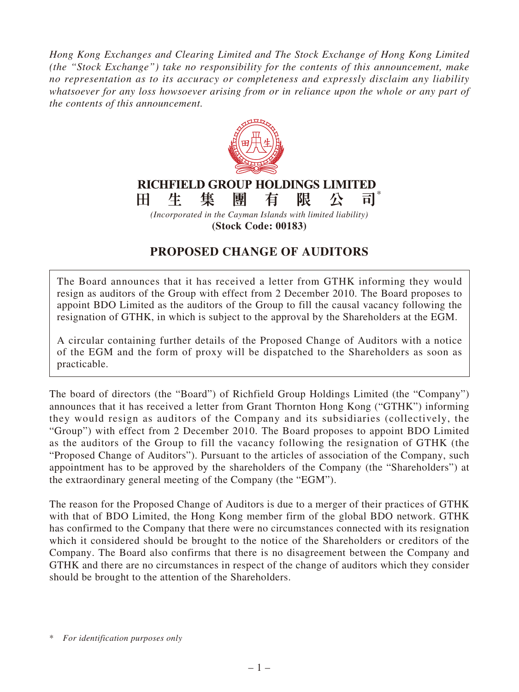*Hong Kong Exchanges and Clearing Limited and The Stock Exchange of Hong Kong Limited (the "Stock Exchange") take no responsibility for the contents of this announcement, make no representation as to its accuracy or completeness and expressly disclaim any liability whatsoever for any loss howsoever arising from or in reliance upon the whole or any part of the contents of this announcement.*



**(Stock Code: 00183)**

## **PROPOSED CHANGE OF AUDITORS**

The Board announces that it has received a letter from GTHK informing they would resign as auditors of the Group with effect from 2 December 2010. The Board proposes to appoint BDO Limited as the auditors of the Group to fill the causal vacancy following the resignation of GTHK, in which is subject to the approval by the Shareholders at the EGM.

A circular containing further details of the Proposed Change of Auditors with a notice of the EGM and the form of proxy will be dispatched to the Shareholders as soon as practicable.

The board of directors (the "Board") of Richfield Group Holdings Limited (the "Company") announces that it has received a letter from Grant Thornton Hong Kong ("GTHK") informing they would resign as auditors of the Company and its subsidiaries (collectively, the "Group") with effect from 2 December 2010. The Board proposes to appoint BDO Limited as the auditors of the Group to fill the vacancy following the resignation of GTHK (the "Proposed Change of Auditors"). Pursuant to the articles of association of the Company, such appointment has to be approved by the shareholders of the Company (the "Shareholders") at the extraordinary general meeting of the Company (the "EGM").

The reason for the Proposed Change of Auditors is due to a merger of their practices of GTHK with that of BDO Limited, the Hong Kong member firm of the global BDO network. GTHK has confirmed to the Company that there were no circumstances connected with its resignation which it considered should be brought to the notice of the Shareholders or creditors of the Company. The Board also confirms that there is no disagreement between the Company and GTHK and there are no circumstances in respect of the change of auditors which they consider should be brought to the attention of the Shareholders.

<sup>\*</sup> *For identification purposes only*